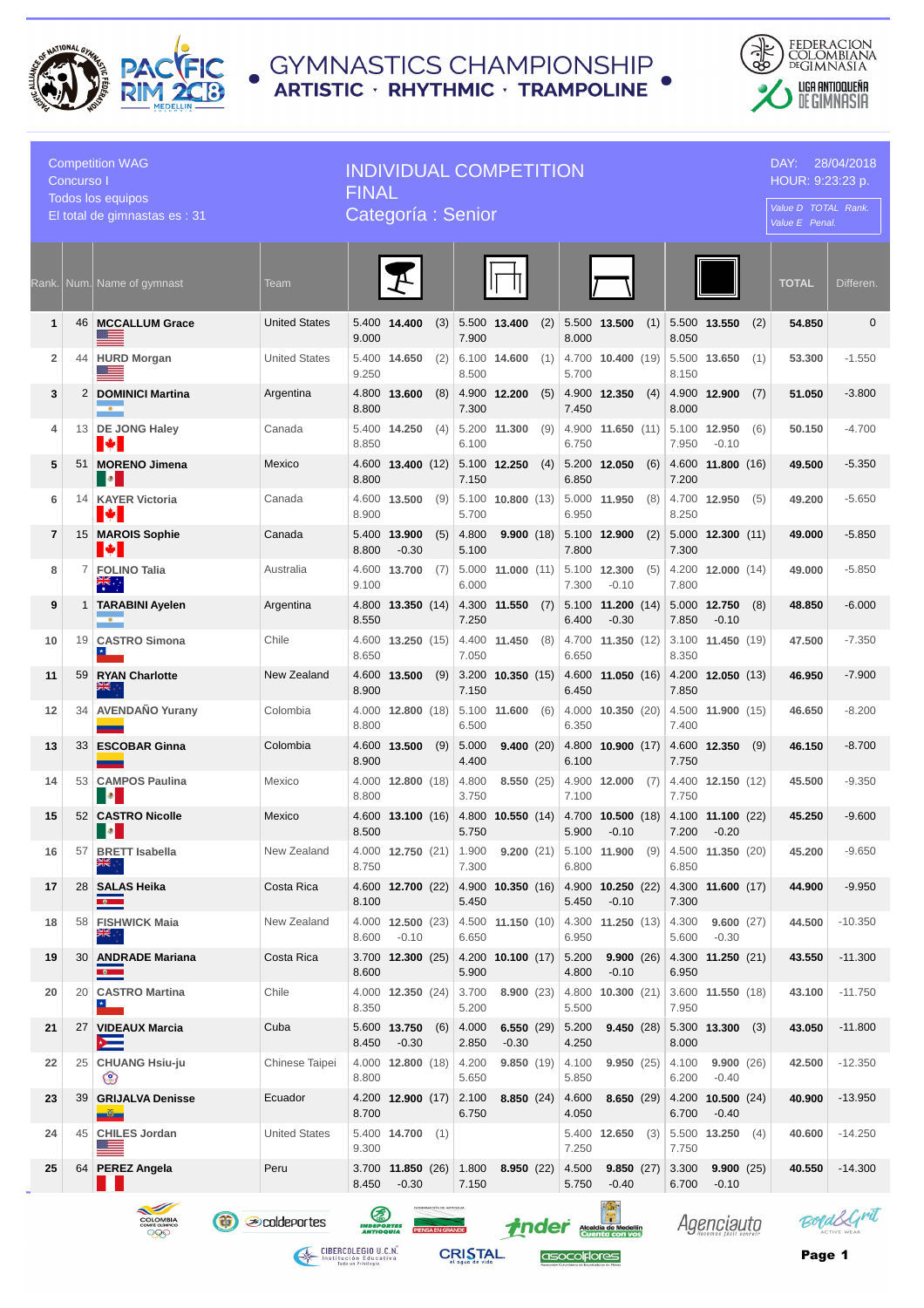

## ● GYMNASTICS CHAMPIONSHIP<br>● ARTISTIC · RHYTHMIC · TRAMPOLINE



| <b>Competition WAG</b><br>Concurso I<br><b>Todos los equipos</b>                                                                                                                                                                               |    |                                    |                       | <b>INDIVIDUAL COMPETITION</b><br><b>FINAL</b> |                                           |     |                |                            |     |                |                                                |     |                |                                                  | DAY:<br>28/04/2018<br>HOUR: 9:23:23 p. |              |              |
|------------------------------------------------------------------------------------------------------------------------------------------------------------------------------------------------------------------------------------------------|----|------------------------------------|-----------------------|-----------------------------------------------|-------------------------------------------|-----|----------------|----------------------------|-----|----------------|------------------------------------------------|-----|----------------|--------------------------------------------------|----------------------------------------|--------------|--------------|
| El total de gimnastas es : 31                                                                                                                                                                                                                  |    |                                    | Categoría: Senior     |                                               |                                           |     |                |                            |     |                |                                                |     |                | Value D TOTAL Rank.<br>Value E Penal.            |                                        |              |              |
| Rank.                                                                                                                                                                                                                                          |    | Num. Name of gymnast               | Team                  |                                               |                                           |     |                |                            |     |                |                                                |     |                |                                                  |                                        | <b>TOTAL</b> | Differen.    |
| 1                                                                                                                                                                                                                                              |    | 46 MCCALLUM Grace                  | <b>United States</b>  | 9.000                                         | 5.400 14.400                              | (3) | 7.900          | 5.500 13.400               | (2) | 8.000          | 5.500 13.500                                   | (1) | 8.050          | 5.500 13.550                                     | (2)                                    | 54.850       | $\mathbf{0}$ |
| $\overline{2}$                                                                                                                                                                                                                                 |    | 44 HURD Morgan                     | <b>United States</b>  | 9.250                                         | 5.400 14.650                              | (2) | 8.500          | 6.100 14,600               | (1) | 5.700          | 4.700 10.400 (19)                              |     | 8.150          | 5.500 13.650                                     | (1)                                    | 53.300       | $-1.550$     |
| 3                                                                                                                                                                                                                                              |    | 2 DOMINICI Martina<br>$\bullet$    | Argentina             | 8.800                                         | 4.800 13.600                              | (8) | 7.300          | 4.900 12.200               | (5) | 7.450          | 4.900 12.350                                   | (4) | 8.000          | 4.900 12.900                                     | (7)                                    | 51.050       | $-3.800$     |
| 4                                                                                                                                                                                                                                              |    | 13 DE JONG Haley<br>H÷             | Canada                | 8.850                                         | $5.400$ <b>14.250</b> (4)                 |     | 6.100          | 5.200 11.300               | (9) | 6.750          | 4.900 11.650 (11)                              |     | 7.950          | 5.100 12.950<br>$-0.10$                          | (6)                                    | 50.150       | $-4.700$     |
| 5                                                                                                                                                                                                                                              |    | 51 MORENO Jimena<br><b>B</b>       | Mexico                | 8.800                                         | $4.600$ <b>13.400</b> (12)                |     | 7.150          | 5.100 12.250               | (4) | 6.850          | 5.200 12.050                                   | (6) | 7.200          | 4.600 11.800 (16)                                |                                        | 49.500       | $-5.350$     |
| 6                                                                                                                                                                                                                                              | 14 | <b>KAYER Victoria</b><br><b>M</b>  | Canada                | 8.900                                         | 4.600 13.500                              | (9) | 5.700          | $5.100$ 10.800 (13)        |     | 6.950          | 5.000 11.950                                   | (8) | 8.250          | 4.700 12.950                                     | (5)                                    | 49.200       | $-5.650$     |
| 7                                                                                                                                                                                                                                              |    | 15 MAROIS Sophie<br>▮₩             | Canada                | 8.800                                         | 5.400 13.900<br>$-0.30$                   | (5) | 4.800<br>5.100 | 9.900(18)                  |     | 7.800          | 5.100 12.900                                   | (2) | 7.300          | $5.000$ <b>12.300</b> (11)                       |                                        | 49.000       | $-5.850$     |
| 8                                                                                                                                                                                                                                              | 7  | <b>FOLINO Talia</b><br>ৰ্≍         | Australia             | 9.100                                         | 4.600 13.700                              | (7) | 5.000<br>6.000 | 11.000(11)                 |     | 7.300          | 5.100 12.300<br>$-0.10$                        | (5) | 7.800          | 4.200 12.000 (14)                                |                                        | 49.000       | $-5.850$     |
| 9                                                                                                                                                                                                                                              |    | 1 TARABINI Ayelen<br>$\bullet$     | Argentina             | 8.550                                         | 4.800 13.350 (14)                         |     | 7.250          | 4.300 11.550               | (7) | 6.400          | $5.100$ <b>11.200</b> (14)<br>$-0.30$          |     | 7.850          | 5.000 12.750<br>$-0.10$                          | (8)                                    | 48.850       | $-6.000$     |
| 10                                                                                                                                                                                                                                             |    | 19 CASTRO Simona                   | Chile                 | 8.650                                         | 4.600 13.250 (15)                         |     | 7.050          | 4.400 11.450               | (8) | 6.650          | 4.700 11.350 (12)                              |     | 8.350          | $3.100$ 11.450 (19)                              |                                        | 47.500       | $-7.350$     |
| 11                                                                                                                                                                                                                                             | 59 | <b>RYAN Charlotte</b>              | <b>New Zealand</b>    | 8.900                                         | 4.600 13.500                              | (9) | 7.150          | $3.200$ <b>10.350</b> (15) |     | 6.450          | 4.600 11.050 (16)                              |     | 7.850          | 4.200 12.050 (13)                                |                                        | 46.950       | $-7.900$     |
| 12                                                                                                                                                                                                                                             | 34 | <b>AVENDAÑO Yurany</b>             | Colombia              | 8.800                                         | $4.000$ <b>12.800</b> (18)                |     | 5.100<br>6.500 | 11.600(6)                  |     | 6.350          | $4.000$ <b>10.350</b> (20)                     |     | 7.400          | 4.500 11.900 (15)                                |                                        | 46.650       | $-8.200$     |
| 13                                                                                                                                                                                                                                             |    | 33 ESCOBAR Ginna                   | Colombia              | 8.900                                         | 4.600 13.500                              | (9) | 5.000<br>4.400 | 9.400(20)                  |     | 6.100          | 4.800 10.900 (17)                              |     | 7.750          | 4.600 12.350                                     | (9)                                    | 46.150       | $-8.700$     |
| 14                                                                                                                                                                                                                                             |    | 53 CAMPOS Paulina<br><b>BO</b>     | Mexico                | 8.800                                         | 4.000 12.800 (18)                         |     | 4.800<br>3.750 | 8.550(25)                  |     | 7.100          | 4.900 12.000                                   | (7) | 7.750          | 4.400 12.150 (12)                                |                                        | 45.500       | $-9.350$     |
| 15                                                                                                                                                                                                                                             |    | 52 CASTRO Nicolle<br><b>B</b>      | Mexico                | 8.500                                         | $4.600$ <b>13.100</b> (16)                |     | 5.750          | 4.800 10.550 (14)          |     | 5.900          | 4.700 10.500 (18)<br>$-0.10$                   |     | 7.200          | 4.100 11.100 (22)<br>$-0.20$                     |                                        | 45.250       | $-9.600$     |
| 16                                                                                                                                                                                                                                             | 57 | <b>BRETT</b> Isabella<br>米雪        | New Zealand           | 8.750                                         | 4.000 12.750 (21) 1.900 9.200 (21)        |     | 7.300          |                            |     | 6.800          |                                                |     | 6.850          | 5.100 <b>11.900</b> (9) 4.500 <b>11.350</b> (20) |                                        | 45.200       | $-9.650$     |
| 17                                                                                                                                                                                                                                             |    | 28 SALAS Heika<br>$\bullet$        | Costa Rica            | 8.100                                         | 4.600 12.700 (22)                         |     | 5.450          |                            |     | 5.450          | 4.900 10.350 (16) 4.900 10.250 (22)<br>$-0.10$ |     | 7.300          | $ 4.300 \t11.600 \t(17) $                        |                                        | 44.900       | $-9.950$     |
| 18                                                                                                                                                                                                                                             |    | 58 FISHWICK Maia                   | New Zealand           | 8.600                                         | 4.000 12.500 (23)<br>$-0.10$              |     | 6.650          | 4.500 <b>11.150</b> (10)   |     | 6.950          | 4.300 <b>11.250</b> (13)                       |     | 4.300<br>5.600 | 9.600(27)<br>$-0.30$                             |                                        | 44.500       | $-10.350$    |
| 19                                                                                                                                                                                                                                             | 30 | <b>ANDRADE Mariana</b><br>ಿ        | Costa Rica            | 8.600                                         | 3.700 12.300 (25)                         |     | 5.900          | $4.200$ <b>10.100</b> (17) |     | 5.200<br>4.800 | 9.900(26)<br>$-0.10$                           |     | 6.950          | 4.300 11.250 (21)                                |                                        | 43.550       | $-11.300$    |
| 20                                                                                                                                                                                                                                             |    | 20   CASTRO Martina<br>$\star$     | Chile                 | 8.350                                         | 4.000 12.350 (24)                         |     | 3.700<br>5.200 | 8.900(23)                  |     | 5.500          | 4.800 10.300 (21)                              |     | 7.950          | 3.600 11.550 (18)                                |                                        | 43.100       | $-11.750$    |
| 21                                                                                                                                                                                                                                             |    | 27 VIDEAUX Marcia<br>$\rightarrow$ | Cuba                  | 8.450                                         | 5.600 13.750<br>$-0.30$                   | (6) | 4.000<br>2.850 | 6.550 $(29)$<br>$-0.30$    |     | 5.200<br>4.250 |                                                |     | 8.000          | <b>9.450</b> (28) $ 5.300 \t13.300 \t(3)$        |                                        | 43.050       | $-11.800$    |
| 22                                                                                                                                                                                                                                             |    | 25 CHUANG Hsiu-ju<br>☺             | <b>Chinese Taipei</b> | 8.800                                         | 4.000 12.800 (18)                         |     | 4.200<br>5.650 | 9.850(19)                  |     | 4.100<br>5.850 | 9.950(25)                                      |     | 4.100<br>6.200 | 9.900(26)<br>$-0.40$                             |                                        | 42.500       | $-12.350$    |
| 23                                                                                                                                                                                                                                             |    | 39 GRIJALVA Denisse<br>$-\omega$   | Ecuador               | 8.700                                         | 4.200 <b>12.900</b> (17)                  |     | 2.100<br>6.750 | 8.850(24)                  |     | 4.600<br>4.050 | 8.650(29)                                      |     | 6.700          | 4.200 10.500 (24)<br>$-0.40$                     |                                        | 40.900       | $-13.950$    |
| 24                                                                                                                                                                                                                                             |    | 45 CHILES Jordan                   | <b>United States</b>  | 9.300                                         | 5.400 14.700 (1)                          |     |                |                            |     | 7.250          | 5.400 12.650                                   | (3) | 7.750          | 5.500 13.250                                     | (4)                                    | 40.600       | $-14.250$    |
| 25                                                                                                                                                                                                                                             |    | 64 PEREZ Angela                    | Peru                  | 8.450                                         | 3.700 <b>11.850</b> (26) 1.800<br>$-0.30$ |     | 7.150          | 8.950(22)                  |     | 4.500<br>5.750 | 9.850(27)<br>$-0.40$                           |     | 3.300<br>6.700 | 9.900(25)<br>$-0.10$                             |                                        | 40.550       | $-14.300$    |
| GOBERNACIÓN DE ANTICIQUA<br>$\sim$<br>医<br>BoralGrit<br>G<br><b><i>S</i></b> coldeportes<br>COLOMBIA<br>comme olimpico<br>Agenciauto<br><i>i</i> nder Alcaldía de Medellín<br><b>INDEPORTES</b><br><b>PIENSA EN GRANDE</b><br>999<br>ANTIOQUIA |    |                                    |                       |                                               |                                           |     |                |                            |     |                |                                                |     |                |                                                  |                                        |              |              |

**CIBERCOLEGIO U.C.N.**<br>Institución Educativa<br>Indo un Privilegio

**CRISTAL** 

asocolflores

Page 1